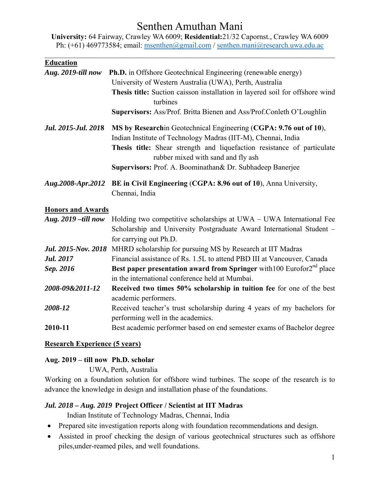# Senthen Amuthan Mani

**University:** 64 Fairway, Crawley WA 6009; **Residential:**21/32 Capornst., Crawley WA 6009 Ph: (+61) 469773584; email: msenthen@gmail.com / senthen.mani@research.uwa.edu.ac

| <b>Education</b>                     |                                                                                                                                                                                                                                                     |
|--------------------------------------|-----------------------------------------------------------------------------------------------------------------------------------------------------------------------------------------------------------------------------------------------------|
| Aug. 2019-till now                   | <b>Ph.D.</b> in Offshore Geotechnical Engineering (renewable energy)                                                                                                                                                                                |
|                                      | University of Western Australia (UWA), Perth, Australia                                                                                                                                                                                             |
|                                      | Thesis title: Suction caisson installation in layered soil for offshore wind<br>turbines                                                                                                                                                            |
|                                      | Supervisors: Ass/Prof. Britta Bienen and Ass/Prof.Conleth O'Loughlin                                                                                                                                                                                |
| Jul. 2015-Jul. 2018                  | MS by Researchin Geotechnical Engineering (CGPA: 9.76 out of 10),<br>Indian Institute of Technology Madras (IIT-M), Chennai, India<br>Thesis title: Shear strength and liquefaction resistance of particulate<br>rubber mixed with sand and fly ash |
|                                      | Supervisors: Prof. A. Boominathan& Dr. Subhadeep Banerjee                                                                                                                                                                                           |
| Aug.2008-Apr.2012                    | BE in Civil Engineering (CGPA: 8.96 out of 10), Anna University,<br>Chennai, India                                                                                                                                                                  |
| <b>Honors and Awards</b>             |                                                                                                                                                                                                                                                     |
| Aug. 2019-till now                   | Holding two competitive scholarships at UWA – UWA International Fee<br>Scholarship and University Postgraduate Award International Student -<br>for carrying out Ph.D.                                                                              |
|                                      | Jul. 2015-Nov. 2018 MHRD scholarship for pursuing MS by Research at IIT Madras                                                                                                                                                                      |
| <b>Jul. 2017</b>                     | Financial assistance of Rs. 1.5L to attend PBD III at Vancouver, Canada                                                                                                                                                                             |
| Sep. 2016                            | Best paper presentation award from Springer with 100 Eurofor $2^{nd}$ place<br>in the international conference held at Mumbai.                                                                                                                      |
| 2008-09&2011-12                      | Received two times 50% scholarship in tuition fee for one of the best<br>academic performers.                                                                                                                                                       |
| 2008-12                              | Received teacher's trust scholarship during 4 years of my bachelors for<br>performing well in the academics.                                                                                                                                        |
| 2010-11                              | Best academic performer based on end semester exams of Bachelor degree                                                                                                                                                                              |
| <b>Research Experience (5 years)</b> |                                                                                                                                                                                                                                                     |

#### **Aug. 2019 – till now Ph.D. scholar**

UWA, Perth, Australia

Working on a foundation solution for offshore wind turbines. The scope of the research is to advance the knowledge in design and installation phase of the foundations.

## *Jul. 2018 – Aug. 2019* **Project Officer / Scientist at IIT Madras**

Indian Institute of Technology Madras, Chennai, India

- Prepared site investigation reports along with foundation recommendations and design.
- Assisted in proof checking the design of various geotechnical structures such as offshore piles,under-reamed piles, and well foundations.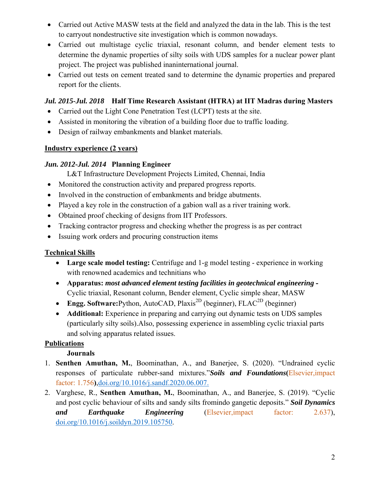- Carried out Active MASW tests at the field and analyzed the data in the lab. This is the test to carryout nondestructive site investigation which is common nowadays.
- Carried out multistage cyclic triaxial, resonant column, and bender element tests to determine the dynamic properties of silty soils with UDS samples for a nuclear power plant project. The project was published inaninternational journal.
- Carried out tests on cement treated sand to determine the dynamic properties and prepared report for the clients.

## *Jul. 2015-Jul. 2018* **Half Time Research Assistant (HTRA) at IIT Madras during Masters**

- Carried out the Light Cone Penetration Test (LCPT) tests at the site.
- Assisted in monitoring the vibration of a building floor due to traffic loading.
- Design of railway embankments and blanket materials.

### **Industry experience (2 years)**

## *Jun. 2012-Jul. 2014* **Planning Engineer**

L&T Infrastructure Development Projects Limited, Chennai, India

- Monitored the construction activity and prepared progress reports.
- Involved in the construction of embankments and bridge abutments.
- Played a key role in the construction of a gabion wall as a river training work.
- Obtained proof checking of designs from IIT Professors.
- Tracking contractor progress and checking whether the progress is as per contract
- Issuing work orders and procuring construction items

## **Technical Skills**

- **Large scale model testing:** Centrifuge and 1-g model testing experience in working with renowned academics and technitians who
- **Apparatus:** *most advanced element testing facilities in geotechnical engineering* Cyclic triaxial, Resonant column, Bender element, Cyclic simple shear, MASW
- **Engg. Software:**Python, AutoCAD, Plaxis<sup>2D</sup> (beginner), FLAC<sup>2D</sup> (beginner)
- **Additional:** Experience in preparing and carrying out dynamic tests on UDS samples (particularly silty soils).Also, possessing experience in assembling cyclic triaxial parts and solving apparatus related issues.

## **Publications**

## **Journals**

- 1. **Senthen Amuthan, M.**, Boominathan, A., and Banerjee, S. (2020). "Undrained cyclic responses of particulate rubber-sand mixtures."*Soils and Foundations***(**Elsevier,impact factor: 1.756**)**,doi.org/10.1016/j.sandf.2020.06.007.
- 2. Varghese, R., **Senthen Amuthan, M.**, Boominathan, A., and Banerjee, S. (2019). "Cyclic and post cyclic behaviour of silts and sandy silts fromindo gangetic deposits." *Soil Dynamics and Earthquake Engineering* (Elsevier,impact factor: 2.637), doi.org/10.1016/j.soildyn.2019.105750.